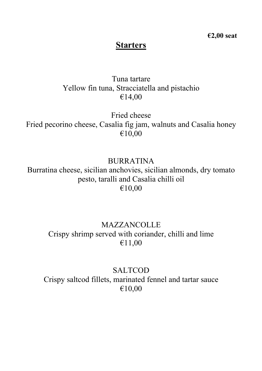**€2,00 seat**

### **Starters**

## Tuna tartare Yellow fin tuna, Stracciatella and pistachio €14,00

Fried cheese Fried pecorino cheese, Casalia fig jam, walnuts and Casalia honey €10,00

BURRATINA Burratina cheese, sicilian anchovies, sicilian almonds, dry tomato pesto, taralli and Casalia chilli oil €10,00

## **MAZZANCOLLE** Crispy shrimp served with coriander, chilli and lime €11,00

SALTCOD Crispy saltcod fillets, marinated fennel and tartar sauce €10,00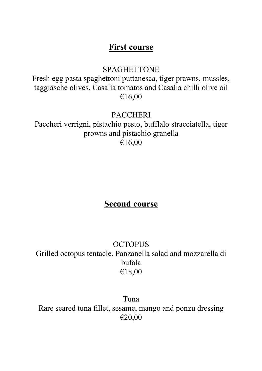## **First course**

### SPAGHETTONE

Fresh egg pasta spaghettoni puttanesca, tiger prawns, mussles, taggiasche olives, Casalìa tomatos and Casalìa chilli olive oil €16,00

### **PACCHERI**

Paccheri verrigni, pistachio pesto, bufflalo stracciatella, tiger prowns and pistachio granella €16,00

# **Second course**

## **OCTOPUS** Grilled octopus tentacle, Panzanella salad and mozzarella di bufala €18,00

Tuna Rare seared tuna fillet, sesame, mango and ponzu dressing €20,00